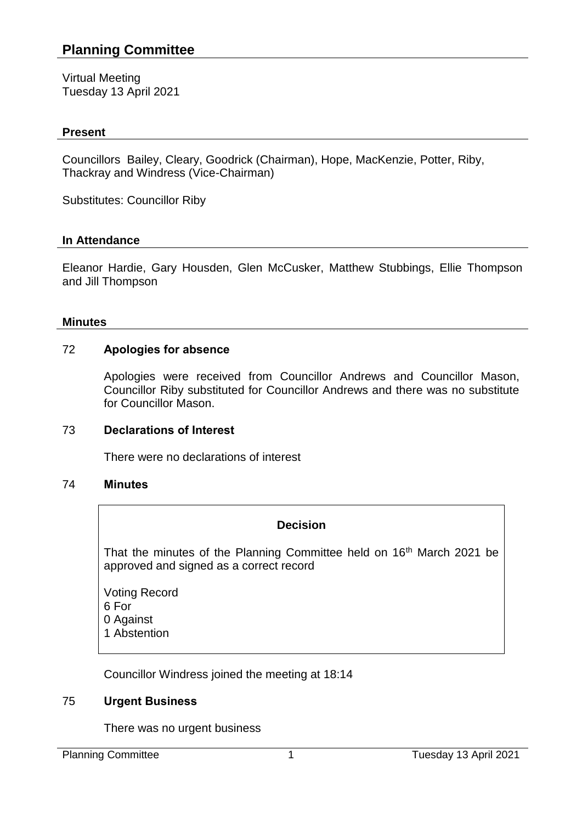# **Planning Committee**

Virtual Meeting Tuesday 13 April 2021

## **Present**

Councillors Bailey, Cleary, Goodrick (Chairman), Hope, MacKenzie, Potter, Riby, Thackray and Windress (Vice-Chairman)

Substitutes: Councillor Riby

#### **In Attendance**

Eleanor Hardie, Gary Housden, Glen McCusker, Matthew Stubbings, Ellie Thompson and Jill Thompson

#### **Minutes**

### 72 **Apologies for absence**

Apologies were received from Councillor Andrews and Councillor Mason, Councillor Riby substituted for Councillor Andrews and there was no substitute for Councillor Mason.

### 73 **Declarations of Interest**

There were no declarations of interest

### 74 **Minutes**

### **Decision**

That the minutes of the Planning Committee held on 16<sup>th</sup> March 2021 be approved and signed as a correct record

Voting Record 6 For 0 Against 1 Abstention

Councillor Windress joined the meeting at 18:14

### 75 **Urgent Business**

There was no urgent business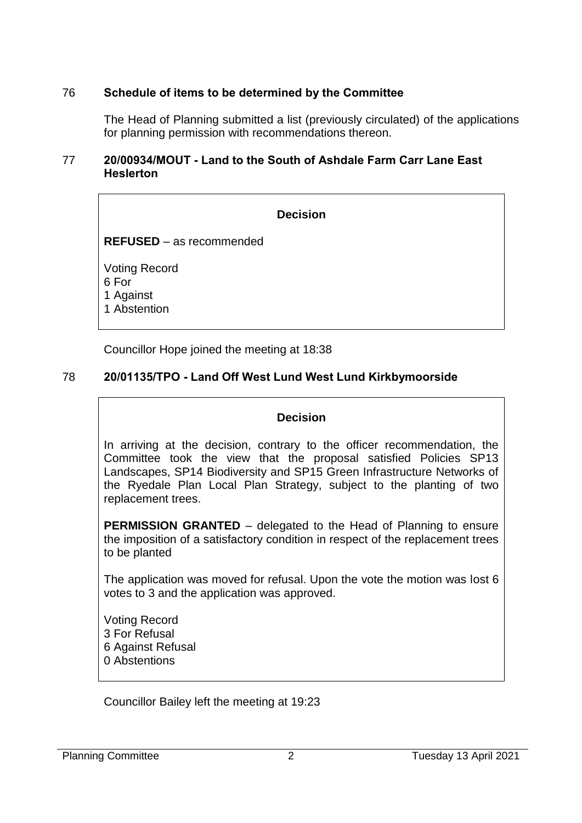# 76 **Schedule of items to be determined by the Committee**

The Head of Planning submitted a list (previously circulated) of the applications for planning permission with recommendations thereon.

### 77 **20/00934/MOUT - Land to the South of Ashdale Farm Carr Lane East Heslerton**

## **Decision**

**REFUSED** – as recommended

Voting Record 6 For 1 Against 1 Abstention

Councillor Hope joined the meeting at 18:38

# 78 **20/01135/TPO - Land Off West Lund West Lund Kirkbymoorside**

### **Decision**

In arriving at the decision, contrary to the officer recommendation, the Committee took the view that the proposal satisfied Policies SP13 Landscapes, SP14 Biodiversity and SP15 Green Infrastructure Networks of the Ryedale Plan Local Plan Strategy, subject to the planting of two replacement trees.

**PERMISSION GRANTED** – delegated to the Head of Planning to ensure the imposition of a satisfactory condition in respect of the replacement trees to be planted

The application was moved for refusal. Upon the vote the motion was lost 6 votes to 3 and the application was approved.

Voting Record 3 For Refusal 6 Against Refusal 0 Abstentions

Councillor Bailey left the meeting at 19:23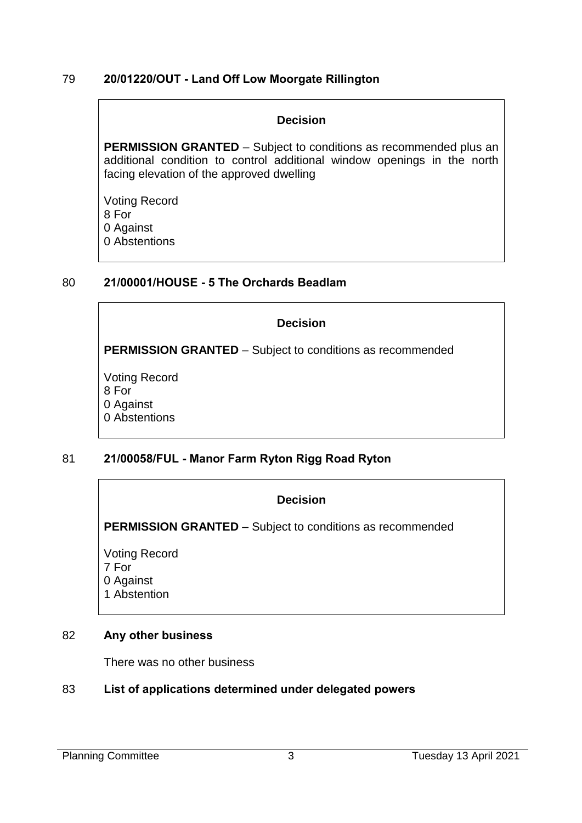## 79 **20/01220/OUT - Land Off Low Moorgate Rillington**

### **Decision**

**PERMISSION GRANTED** – Subject to conditions as recommended plus an additional condition to control additional window openings in the north facing elevation of the approved dwelling

Voting Record 8 For 0 Against 0 Abstentions

## 80 **21/00001/HOUSE - 5 The Orchards Beadlam**

# **Decision**

**PERMISSION GRANTED** – Subject to conditions as recommended

Voting Record 8 For 0 Against 0 Abstentions

# 81 **21/00058/FUL - Manor Farm Ryton Rigg Road Ryton**

# **Decision**

**PERMISSION GRANTED** – Subject to conditions as recommended

Voting Record 7 For 0 Against 1 Abstention

### 82 **Any other business**

There was no other business

# 83 **List of applications determined under delegated powers**